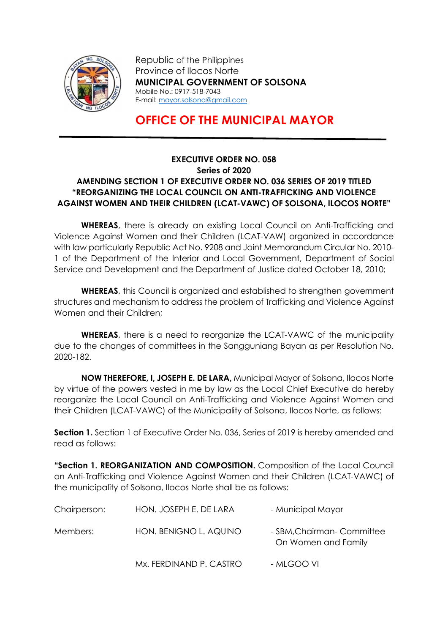

Republic of the Philippines Province of Ilocos Norte MUNICIPAL GOVERNMENT OF SOLSONA Mobile No.: 0917-518-7043 E-mail: mayor.solsona@gmail.com

## OFFICE OF THE MUNICIPAL MAYOR

## EXECUTIVE ORDER NO. 058 Series of 2020 AMENDING SECTION 1 OF EXECUTIVE ORDER NO. 036 SERIES OF 2019 TITLED "REORGANIZING THE LOCAL COUNCIL ON ANTI-TRAFFICKING AND VIOLENCE AGAINST WOMEN AND THEIR CHILDREN (LCAT-VAWC) OF SOLSONA, ILOCOS NORTE"

WHEREAS, there is already an existing Local Council on Anti-Trafficking and Violence Against Women and their Children (LCAT-VAW) organized in accordance with law particularly Republic Act No. 9208 and Joint Memorandum Circular No. 2010- 1 of the Department of the Interior and Local Government, Department of Social Service and Development and the Department of Justice dated October 18, 2010;

WHEREAS, this Council is organized and established to strengthen government structures and mechanism to address the problem of Trafficking and Violence Against Women and their Children;

WHEREAS, there is a need to reorganize the LCAT-VAWC of the municipality due to the changes of committees in the Sangguniang Bayan as per Resolution No. 2020-182.

NOW THEREFORE, I, JOSEPH E. DE LARA, Municipal Mayor of Solsona, Ilocos Norte by virtue of the powers vested in me by law as the Local Chief Executive do hereby reorganize the Local Council on Anti-Trafficking and Violence Against Women and their Children (LCAT-VAWC) of the Municipality of Solsona, Ilocos Norte, as follows:

**Section 1.** Section 1 of Executive Order No. 036, Series of 2019 is hereby amended and read as follows:

"Section 1. REORGANIZATION AND COMPOSITION. Composition of the Local Council on Anti-Trafficking and Violence Against Women and their Children (LCAT-VAWC) of the municipality of Solsona, Ilocos Norte shall be as follows:

| Chairperson: | HON. JOSEPH E. DE LARA  | - Municipal Mayor                                  |
|--------------|-------------------------|----------------------------------------------------|
| Members:     | HON. BENIGNO L. AQUINO  | - SBM, Chairman - Committee<br>On Women and Family |
|              | Mx. FERDINAND P. CASTRO | - MLGOO VI                                         |